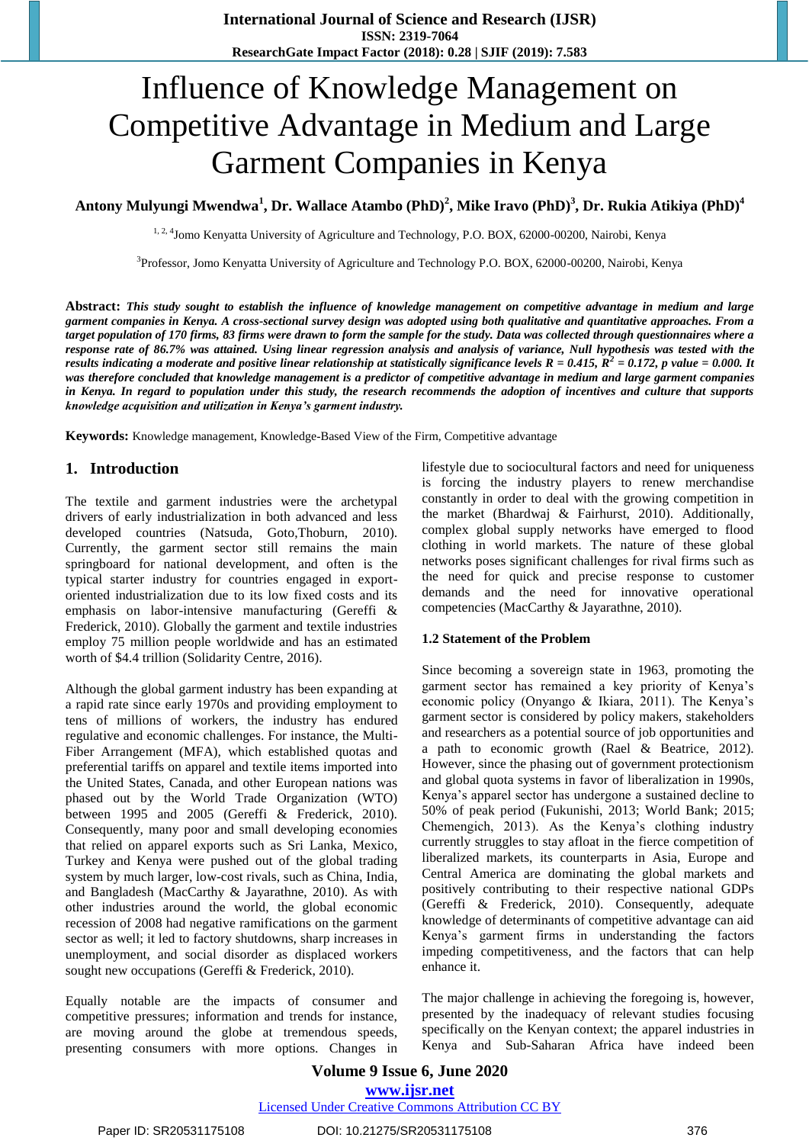# Influence of Knowledge Management on Competitive Advantage in Medium and Large Garment Companies in Kenya

**Antony Mulyungi Mwendwa<sup>1</sup> , Dr. Wallace Atambo (PhD)<sup>2</sup> , Mike Iravo (PhD)<sup>3</sup> , Dr. Rukia Atikiya (PhD)<sup>4</sup>**

<sup>1, 2, 4</sup>Jomo Kenyatta University of Agriculture and Technology, P.O. BOX, 62000-00200, Nairobi, Kenya

<sup>3</sup>Professor, Jomo Kenyatta University of Agriculture and Technology P.O. BOX, 62000-00200, Nairobi, Kenya

**Abstract:** *This study sought to establish the influence of knowledge management on competitive advantage in medium and large garment companies in Kenya. A cross-sectional survey design was adopted using both qualitative and quantitative approaches. From a target population of 170 firms, 83 firms were drawn to form the sample for the study. Data was collected through questionnaires where a response rate of 86.7% was attained. Using linear regression analysis and analysis of variance, Null hypothesis was tested with the results indicating a moderate and positive linear relationship at statistically significance levels R = 0.415, R<sup>2</sup> = 0.172, p value = 0.000. It was therefore concluded that knowledge management is a predictor of competitive advantage in medium and large garment companies in Kenya. In regard to population under this study, the research recommends the adoption of incentives and culture that supports knowledge acquisition and utilization in Kenya's garment industry.*

**Keywords:** Knowledge management, Knowledge‐Based View of the Firm, Competitive advantage

## **1. Introduction**

The textile and garment industries were the archetypal drivers of early industrialization in both advanced and less developed countries (Natsuda, Goto,Thoburn, 2010). Currently, the garment sector still remains the main springboard for national development, and often is the typical starter industry for countries engaged in exportoriented industrialization due to its low fixed costs and its emphasis on labor-intensive manufacturing (Gereffi & Frederick, 2010). Globally the garment and textile industries employ 75 million people worldwide and has an estimated worth of \$4.4 trillion (Solidarity Centre, 2016).

Although the global garment industry has been expanding at a rapid rate since early 1970s and providing employment to tens of millions of workers, the industry has endured regulative and economic challenges. For instance, the Multi-Fiber Arrangement (MFA), which established quotas and preferential tariffs on apparel and textile items imported into the United States, Canada, and other European nations was phased out by the World Trade Organization (WTO) between 1995 and 2005 (Gereffi & Frederick, 2010). Consequently, many poor and small developing economies that relied on apparel exports such as Sri Lanka, Mexico, Turkey and Kenya were pushed out of the global trading system by much larger, low-cost rivals, such as China, India, and Bangladesh (MacCarthy & Jayarathne, 2010). As with other industries around the world, the global economic recession of 2008 had negative ramifications on the garment sector as well; it led to factory shutdowns, sharp increases in unemployment, and social disorder as displaced workers sought new occupations (Gereffi & Frederick, 2010).

Equally notable are the impacts of consumer and competitive pressures; information and trends for instance, are moving around the globe at tremendous speeds, presenting consumers with more options. Changes in lifestyle due to sociocultural factors and need for uniqueness is forcing the industry players to renew merchandise constantly in order to deal with the growing competition in the market (Bhardwaj & Fairhurst, 2010). Additionally, complex global supply networks have emerged to flood clothing in world markets. The nature of these global networks poses significant challenges for rival firms such as the need for quick and precise response to customer demands and the need for innovative operational competencies (MacCarthy & Jayarathne, 2010).

#### **1.2 Statement of the Problem**

Since becoming a sovereign state in 1963, promoting the garment sector has remained a key priority of Kenya's economic policy (Onyango & Ikiara, 2011). The Kenya's garment sector is considered by policy makers, stakeholders and researchers as a potential source of job opportunities and a path to economic growth (Rael & Beatrice, 2012). However, since the phasing out of government protectionism and global quota systems in favor of liberalization in 1990s, Kenya's apparel sector has undergone a sustained decline to 50% of peak period (Fukunishi, 2013; World Bank; 2015; Chemengich, 2013). As the Kenya's clothing industry currently struggles to stay afloat in the fierce competition of liberalized markets, its counterparts in Asia, Europe and Central America are dominating the global markets and positively contributing to their respective national GDPs (Gereffi & Frederick, 2010). Consequently, adequate knowledge of determinants of competitive advantage can aid Kenya's garment firms in understanding the factors impeding competitiveness, and the factors that can help enhance it.

The major challenge in achieving the foregoing is, however, presented by the inadequacy of relevant studies focusing specifically on the Kenyan context; the apparel industries in Kenya and Sub-Saharan Africa have indeed been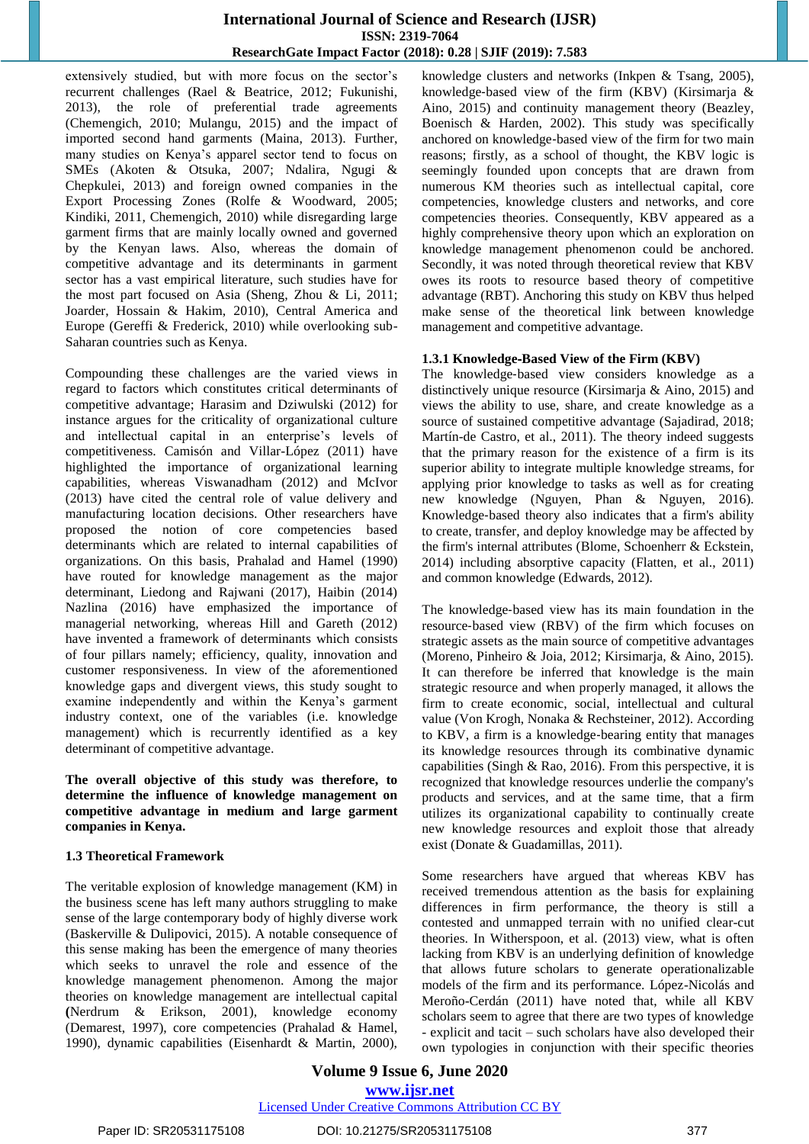extensively studied, but with more focus on the sector's recurrent challenges (Rael & Beatrice, 2012; Fukunishi, 2013), the role of preferential trade agreements (Chemengich, 2010; Mulangu, 2015) and the impact of imported second hand garments (Maina, 2013). Further, many studies on Kenya's apparel sector tend to focus on SMEs (Akoten & Otsuka, 2007; Ndalira, Ngugi & Chepkulei, 2013) and foreign owned companies in the Export Processing Zones (Rolfe & Woodward, 2005; Kindiki, 2011, Chemengich, 2010) while disregarding large garment firms that are mainly locally owned and governed by the Kenyan laws. Also, whereas the domain of competitive advantage and its determinants in garment sector has a vast empirical literature, such studies have for the most part focused on Asia (Sheng, Zhou & Li, 2011; Joarder, Hossain & Hakim, 2010), Central America and Europe (Gereffi & Frederick, 2010) while overlooking sub-Saharan countries such as Kenya.

Compounding these challenges are the varied views in regard to factors which constitutes critical determinants of competitive advantage; Harasim and Dziwulski (2012) for instance argues for the criticality of organizational culture and intellectual capital in an enterprise's levels of competitiveness. Camisón and Villar-López (2011) have highlighted the importance of organizational learning capabilities, whereas Viswanadham (2012) and McIvor (2013) have cited the central role of value delivery and [manufacturing location decisions](http://onlinelibrary.wiley.com/doi/10.1111/jscm.12010/full). Other researchers have proposed the notion of core competencies based determinants which are related to internal capabilities of organizations. On this basis, Prahalad and Hamel (1990) have routed for knowledge management as the major determinant, Liedong and Rajwani (2017), Haibin (2014) Nazlina (2016) have emphasized the importance of managerial networking, whereas Hill and Gareth (2012) have invented a framework of determinants which consists of four pillars namely; efficiency, quality, innovation and customer responsiveness. In view of the aforementioned knowledge gaps and divergent views, this study sought to examine independently and within the Kenya's garment industry context, one of the variables (i.e. knowledge management) which is recurrently identified as a key determinant of competitive advantage.

**The overall objective of this study was therefore, to determine the influence of knowledge management on competitive advantage in medium and large garment companies in Kenya.**

#### **1.3 Theoretical Framework**

The veritable explosion of knowledge management (KM) in the business scene has left many authors struggling to make sense of the large contemporary body of highly diverse work (Baskerville & Dulipovici, 2015). A notable consequence of this sense making has been the emergence of many theories which seeks to unravel the role and essence of the knowledge management phenomenon. Among the major theories on knowledge management are intellectual capital **(**Nerdrum & Erikson, 2001), knowledge economy (Demarest, 1997), core competencies (Prahalad & Hamel, 1990), dynamic capabilities (Eisenhardt & Martin, 2000), knowledge clusters and networks (Inkpen & Tsang, 2005), knowledge‐based view of the firm (KBV) (Kirsimarja & Aino, 2015) and continuity management theory (Beazley, Boenisch & Harden, 2002). This study was specifically anchored on knowledge‐based view of the firm for two main reasons; firstly, as a school of thought, the KBV logic is seemingly founded upon concepts that are drawn from numerous KM theories such as intellectual capital, core competencies, knowledge clusters and networks, and core competencies theories. Consequently, KBV appeared as a highly comprehensive theory upon which an exploration on knowledge management phenomenon could be anchored. Secondly, it was noted through theoretical review that KBV owes its roots to resource based theory of competitive advantage (RBT). Anchoring this study on KBV thus helped make sense of the theoretical link between knowledge management and competitive advantage.

#### **1.3.1 Knowledge**‐**Based View of the Firm (KBV)**

The knowledge-based view considers knowledge as a distinctively unique resource (Kirsimarja & Aino, 2015) and views the ability to use, share, and create knowledge as a source of sustained competitive advantage (Sajadirad, 2018; Martín-de Castro, et al., 2011). The theory indeed suggests that the primary reason for the existence of a firm is its superior ability to integrate multiple knowledge streams, for applying prior knowledge to tasks as well as for creating new knowledge (Nguyen, Phan & Nguyen, 2016). Knowledge‐based theory also indicates that a firm's ability to create, transfer, and deploy knowledge may be affected by the firm's internal attributes (Blome, Schoenherr & Eckstein, 2014) including absorptive capacity (Flatten, et al., 2011) and common knowledge (Edwards, 2012).

The knowledge-based view has its main foundation in the resource‐based view (RBV) of the firm which focuses on strategic assets as the main source of competitive advantages (Moreno, Pinheiro & Joia, 2012; Kirsimarja, & Aino, 2015). It can therefore be inferred that knowledge is the main strategic resource and when properly managed, it allows the firm to create economic, social, intellectual and cultural value (Von Krogh, Nonaka & Rechsteiner, 2012). According to KBV, a firm is a knowledge‐bearing entity that manages its knowledge resources through its combinative dynamic capabilities (Singh & Rao, 2016). From this perspective, it is recognized that knowledge resources underlie the company's products and services, and at the same time, that a firm utilizes its organizational capability to continually create new knowledge resources and exploit those that already exist (Donate & Guadamillas, 2011).

Some researchers have argued that whereas KBV has received tremendous attention as the basis for explaining differences in firm performance, the theory is still a contested and unmapped terrain with no unified clear-cut theories. In Witherspoon, et al. (2013) view, what is often lacking from KBV is an underlying definition of knowledge that allows future scholars to generate operationalizable models of the firm and its performance. López-Nicolás and Meroño-Cerdán (2011) have noted that, while all KBV scholars seem to agree that there are two types of knowledge - explicit and tacit – such scholars have also developed their own typologies in conjunction with their specific theories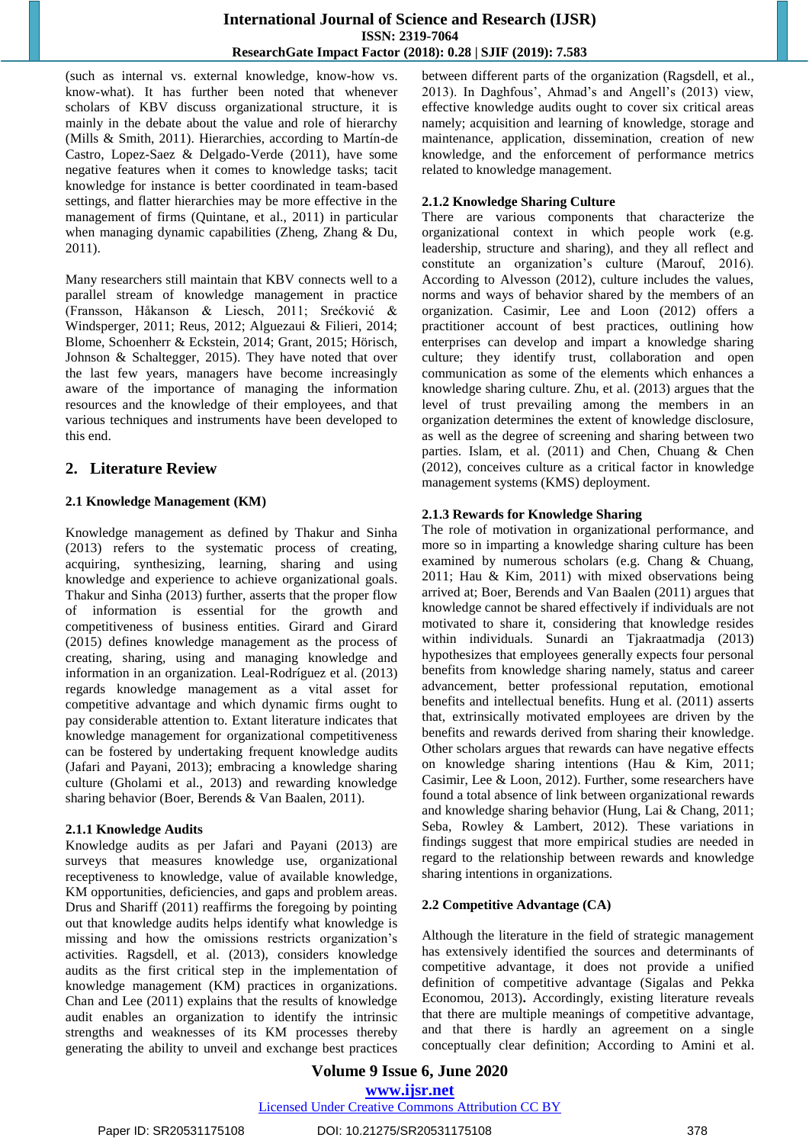(such as internal vs. external knowledge, know-how vs. know-what). It has further been noted that whenever scholars of KBV discuss organizational structure, it is mainly in the debate about the value and role of hierarchy (Mills & Smith, 2011). Hierarchies, according to Martín-de Castro, Lopez-Saez & Delgado-Verde (2011), have some negative features when it comes to knowledge tasks; tacit knowledge for instance is better coordinated in team-based settings, and flatter hierarchies may be more effective in the management of firms (Quintane, et al., 2011) in particular when managing dynamic capabilities (Zheng, Zhang & Du, 2011).

Many researchers still maintain that KBV connects well to a parallel stream of knowledge management in practice (Fransson, Håkanson & Liesch, 2011; Srećković & Windsperger, 2011; Reus, 2012; Alguezaui & Filieri, 2014; Blome, Schoenherr & Eckstein, 2014; Grant, 2015; Hörisch, Johnson & Schaltegger, 2015). They have noted that over the last few years, managers have become increasingly aware of the importance of managing the information resources and the knowledge of their employees, and that various techniques and instruments have been developed to this end.

# **2. Literature Review**

## **2.1 Knowledge Management (KM)**

Knowledge management as defined by Thakur and Sinha (2013) refers to the systematic process of creating, acquiring, synthesizing, learning, sharing and using knowledge and experience to achieve organizational goals. Thakur and Sinha (2013) further, asserts that the proper flow of information is essential for the growth and competitiveness of business entities. Girard and Girard (2015) defines knowledge management as the process of creating, sharing, using and managing knowledge and information in an organization. Leal-Rodríguez et al. (2013) regards knowledge management as a vital asset for competitive advantage and which dynamic firms ought to pay considerable attention to. Extant literature indicates that knowledge management for organizational competitiveness can be fostered by undertaking frequent knowledge audits (Jafari and Payani, 2013); embracing a knowledge sharing culture (Gholami et al., 2013) and rewarding knowledge sharing behavior (Boer, Berends & Van Baalen, 2011).

## **2.1.1 Knowledge Audits**

Knowledge audits as per Jafari and Payani (2013) are surveys that measures knowledge use, organizational receptiveness to knowledge, value of available knowledge, KM opportunities, deficiencies, and gaps and problem areas. Drus and Shariff (2011) reaffirms the foregoing by pointing out that knowledge audits helps identify what knowledge is missing and how the omissions restricts organization's activities. Ragsdell, et al. (2013), considers knowledge audits as the first critical step in the implementation of knowledge management (KM) practices in organizations. Chan and Lee (2011) explains that the results of knowledge audit enables an organization to identify the intrinsic strengths and weaknesses of its KM processes thereby generating the ability to unveil and exchange best practices between different parts of the organization (Ragsdell, et al., 2013). In Daghfous', Ahmad's and Angell's (2013) view, effective knowledge audits ought to cover six critical areas namely; acquisition and learning of knowledge, storage and maintenance, application, dissemination, creation of new knowledge, and the enforcement of performance metrics related to knowledge management.

## **2.1.2 Knowledge Sharing Culture**

There are various components that characterize the organizational context in which people work (e.g. leadership, structure and sharing), and they all reflect and constitute an organization's culture (Marouf, 2016). According to Alvesson (2012), culture includes the values, norms and ways of behavior shared by the members of an organization. Casimir, Lee and Loon (2012) offers a practitioner account of best practices, outlining how enterprises can develop and impart a knowledge sharing culture; they identify trust, collaboration and open communication as some of the elements which enhances a knowledge sharing culture. Zhu, et al. (2013) argues that the level of trust prevailing among the members in an organization determines the extent of knowledge disclosure, as well as the degree of screening and sharing between two parties. Islam, et al. (2011) and Chen, Chuang & Chen (2012), conceives culture as a critical factor in knowledge management systems (KMS) deployment.

## **2.1.3 Rewards for Knowledge Sharing**

The role of motivation in organizational performance, and more so in imparting a knowledge sharing culture has been examined by numerous scholars (e.g. Chang & Chuang, 2011; Hau & Kim, 2011) with mixed observations being arrived at; Boer, Berends and Van Baalen (2011) argues that knowledge cannot be shared effectively if individuals are not motivated to share it, considering that knowledge resides within individuals. Sunardi an Tjakraatmadja (2013) hypothesizes that employees generally expects four personal benefits from knowledge sharing namely, status and career advancement, better professional reputation, emotional benefits and intellectual benefits. Hung et al. (2011) asserts that, extrinsically motivated employees are driven by the benefits and rewards derived from sharing their knowledge. Other scholars argues that rewards can have negative effects on knowledge sharing intentions (Hau & Kim, 2011; Casimir, Lee & Loon, 2012). Further, some researchers have found a total absence of link between organizational rewards and knowledge sharing behavior (Hung, Lai & Chang, 2011; Seba, Rowley & Lambert, 2012). These variations in findings suggest that more empirical studies are needed in regard to the relationship between rewards and knowledge sharing intentions in organizations.

# **2.2 Competitive Advantage (CA)**

Although the literature in the field of strategic management has extensively identified the sources and determinants of competitive advantage, it does not provide a unified definition of competitive advantage (Sigalas and Pekka Economou, 2013)**.** Accordingly, existing literature reveals that there are multiple meanings of competitive advantage, and that there is hardly an agreement on a single conceptually clear definition; According to Amini et al.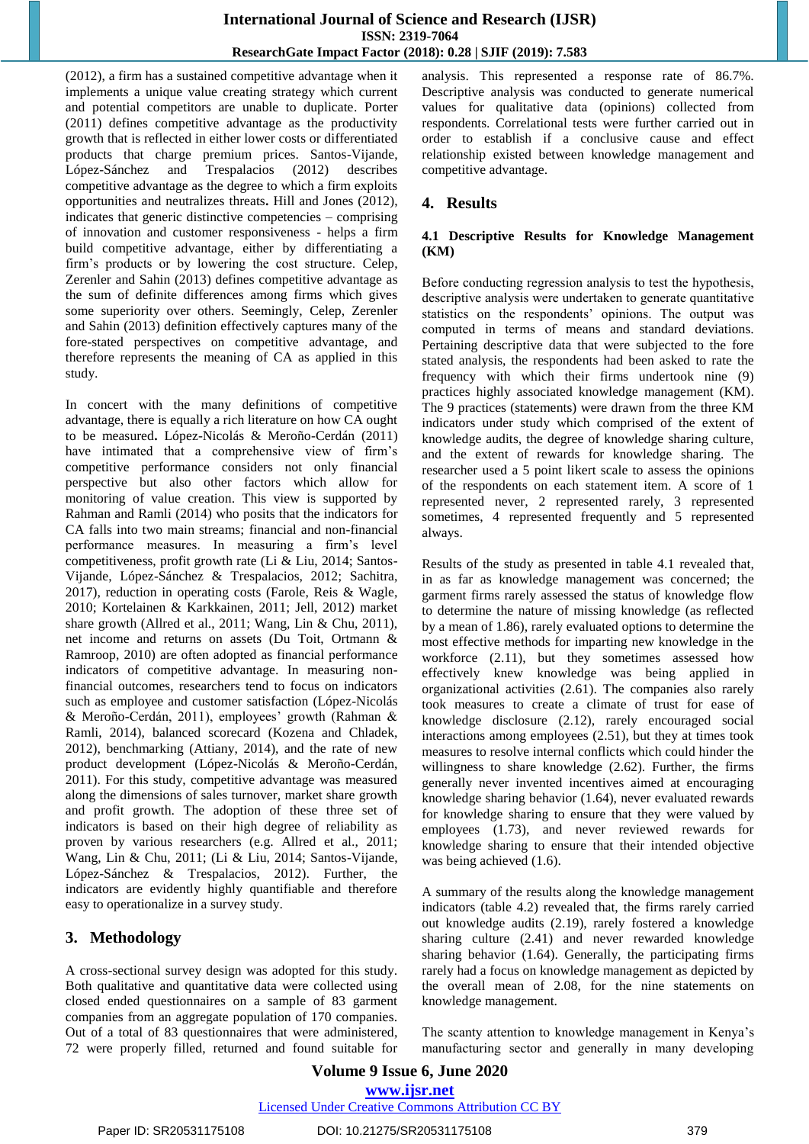(2012), a firm has a sustained competitive advantage when it implements a unique value creating strategy which current and potential competitors are unable to duplicate. Porter (2011) defines competitive advantage as the productivity growth that is reflected in either lower costs or differentiated products that charge premium prices. Santos-Vijande, López-Sánchez and Trespalacios (2012) describes competitive advantage as the degree to which a firm exploits opportunities and neutralizes threats**.** Hill and Jones (2012), indicates that generic distinctive competencies – comprising of innovation and customer responsiveness - helps a firm build competitive advantage, either by differentiating a firm's products or by lowering the cost structure. Celep, Zerenler and Sahin (2013) defines competitive advantage as the sum of definite differences among firms which gives some superiority over others. Seemingly, Celep, Zerenler and Sahin (2013) definition effectively captures many of the fore-stated perspectives on competitive advantage, and therefore represents the meaning of CA as applied in this study.

In concert with the many definitions of competitive advantage, there is equally a rich literature on how CA ought to be measured**.** López-Nicolás & Meroño-Cerdán (2011) have intimated that a comprehensive view of firm's competitive performance considers not only financial perspective but also other factors which allow for monitoring of value creation. This view is supported by Rahman and Ramli (2014) who posits that the indicators for CA falls into two main streams; financial and non-financial performance measures. In measuring a firm's level competitiveness, profit growth rate (Li & Liu, 2014; Santos-Vijande, López-Sánchez & Trespalacios, 2012; Sachitra, 2017), reduction in operating costs (Farole, Reis & Wagle, 2010; Kortelainen & Karkkainen, 2011; Jell, 2012) market share growth (Allred et al., 2011; Wang, Lin & Chu, 2011), net income and returns on assets (Du Toit, Ortmann & Ramroop, 2010) are often adopted as financial performance indicators of competitive advantage. In measuring nonfinancial outcomes, researchers tend to focus on indicators such as employee and customer satisfaction (López-Nicolás & Meroño-Cerdán, 2011), employees' growth (Rahman & Ramli, 2014), balanced scorecard (Kozena and Chladek, 2012), benchmarking (Attiany, 2014), and the rate of new product development (López-Nicolás & Meroño-Cerdán, 2011). For this study, competitive advantage was measured along the dimensions of sales turnover, market share growth and profit growth. The adoption of these three set of indicators is based on their high degree of reliability as proven by various researchers (e.g. Allred et al., 2011; Wang, Lin & Chu, 2011; (Li & Liu, 2014; Santos-Vijande, López-Sánchez & Trespalacios, 2012). Further, the indicators are evidently highly quantifiable and therefore easy to operationalize in a survey study.

# **3. Methodology**

A cross-sectional survey design was adopted for this study. Both qualitative and quantitative data were collected using closed ended questionnaires on a sample of 83 garment companies from an aggregate population of 170 companies. Out of a total of 83 questionnaires that were administered, 72 were properly filled, returned and found suitable for analysis. This represented a response rate of 86.7%. Descriptive analysis was conducted to generate numerical values for qualitative data (opinions) collected from respondents. Correlational tests were further carried out in order to establish if a conclusive cause and effect relationship existed between knowledge management and competitive advantage.

# **4. Results**

#### **4.1 Descriptive Results for Knowledge Management (KM)**

Before conducting regression analysis to test the hypothesis, descriptive analysis were undertaken to generate quantitative statistics on the respondents' opinions. The output was computed in terms of means and standard deviations. Pertaining descriptive data that were subjected to the fore stated analysis, the respondents had been asked to rate the frequency with which their firms undertook nine (9) practices highly associated knowledge management (KM). The 9 practices (statements) were drawn from the three KM indicators under study which comprised of the extent of knowledge audits, the degree of knowledge sharing culture, and the extent of rewards for knowledge sharing. The researcher used a 5 point likert scale to assess the opinions of the respondents on each statement item. A score of 1 represented never, 2 represented rarely, 3 represented sometimes, 4 represented frequently and 5 represented always.

Results of the study as presented in table 4.1 revealed that, in as far as knowledge management was concerned; the garment firms rarely assessed the status of knowledge flow to determine the nature of missing knowledge (as reflected by a mean of 1.86), rarely evaluated options to determine the most effective methods for imparting new knowledge in the workforce (2.11), but they sometimes assessed how effectively knew knowledge was being applied in organizational activities (2.61). The companies also rarely took measures to create a climate of trust for ease of knowledge disclosure (2.12), rarely encouraged social interactions among employees (2.51), but they at times took measures to resolve internal conflicts which could hinder the willingness to share knowledge (2.62). Further, the firms generally never invented incentives aimed at encouraging knowledge sharing behavior (1.64), never evaluated rewards for knowledge sharing to ensure that they were valued by employees (1.73), and never reviewed rewards for knowledge sharing to ensure that their intended objective was being achieved  $(1.6)$ .

A summary of the results along the knowledge management indicators (table 4.2) revealed that, the firms rarely carried out knowledge audits (2.19), rarely fostered a knowledge sharing culture (2.41) and never rewarded knowledge sharing behavior (1.64). Generally, the participating firms rarely had a focus on knowledge management as depicted by the overall mean of 2.08, for the nine statements on knowledge management.

The scanty attention to knowledge management in Kenya's manufacturing sector and generally in many developing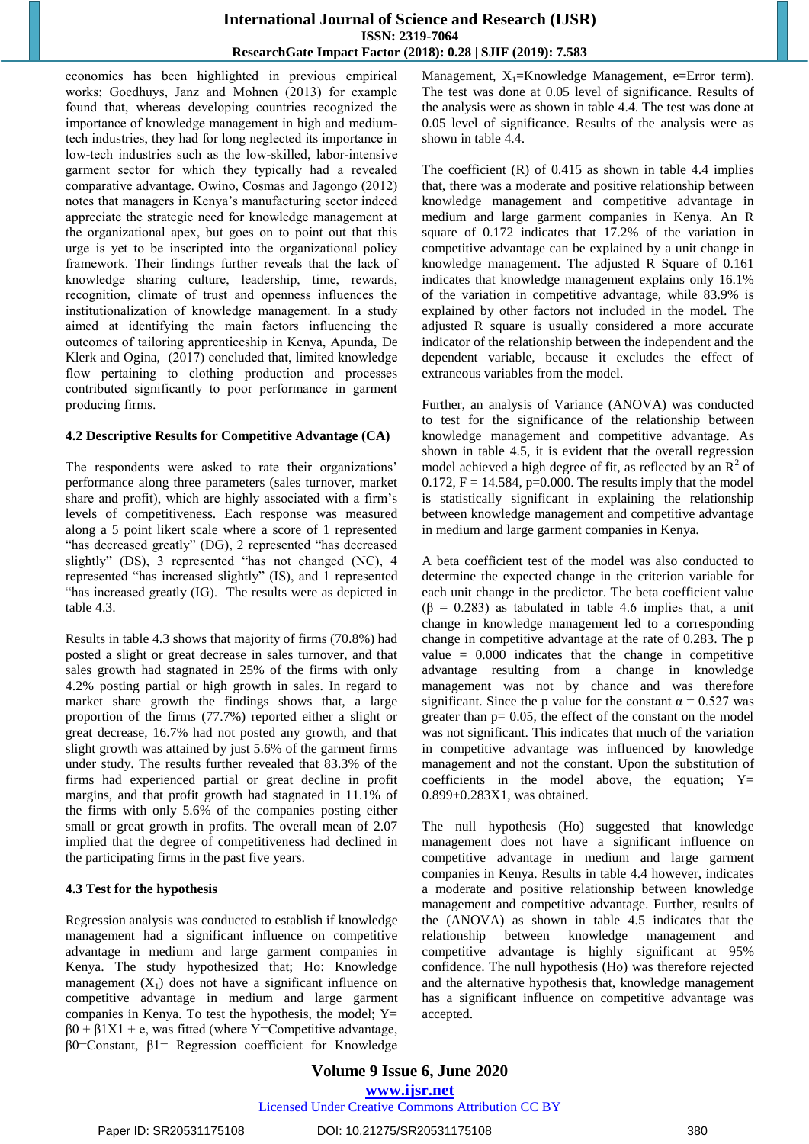economies has been highlighted in previous empirical works; Goedhuys, Janz and Mohnen (2013) for example found that, whereas developing countries recognized the importance of knowledge management in high and mediumtech industries, they had for long neglected its importance in low-tech industries such as the low-skilled, labor-intensive garment sector for which they typically had a revealed comparative advantage. Owino, Cosmas and Jagongo (2012) notes that managers in Kenya's manufacturing sector indeed appreciate the strategic need for knowledge management at the organizational apex, but goes on to point out that this urge is yet to be inscripted into the organizational policy framework. Their findings further reveals that the lack of knowledge sharing culture, leadership, time, rewards, recognition, climate of trust and openness influences the institutionalization of knowledge management. In a study aimed at identifying the main factors influencing the outcomes of tailoring apprenticeship in Kenya, Apunda, De Klerk and Ogina, (2017) concluded that, limited knowledge flow pertaining to clothing production and processes contributed significantly to poor performance in garment producing firms.

#### **4.2 Descriptive Results for Competitive Advantage (CA)**

The respondents were asked to rate their organizations' performance along three parameters (sales turnover, market share and profit), which are highly associated with a firm's levels of competitiveness. Each response was measured along a 5 point likert scale where a score of 1 represented "has decreased greatly" (DG), 2 represented "has decreased slightly" (DS), 3 represented "has not changed (NC), 4 represented "has increased slightly" (IS), and 1 represented "has increased greatly (IG). The results were as depicted in table 4.3.

Results in table 4.3 shows that majority of firms (70.8%) had posted a slight or great decrease in sales turnover, and that sales growth had stagnated in 25% of the firms with only 4.2% posting partial or high growth in sales. In regard to market share growth the findings shows that, a large proportion of the firms (77.7%) reported either a slight or great decrease, 16.7% had not posted any growth, and that slight growth was attained by just 5.6% of the garment firms under study. The results further revealed that 83.3% of the firms had experienced partial or great decline in profit margins, and that profit growth had stagnated in 11.1% of the firms with only 5.6% of the companies posting either small or great growth in profits. The overall mean of 2.07 implied that the degree of competitiveness had declined in the participating firms in the past five years.

#### **4.3 Test for the hypothesis**

Regression analysis was conducted to establish if knowledge management had a significant influence on competitive advantage in medium and large garment companies in Kenya. The study hypothesized that; Ho: Knowledge management  $(X_1)$  does not have a significant influence on competitive advantage in medium and large garment companies in Kenya. To test the hypothesis, the model;  $Y=$  $\beta$ 0 +  $\beta$ 1X1 + e, was fitted (where Y=Competitive advantage, β0=Constant, β1= Regression coefficient for Knowledge Management,  $X_1$ =Knowledge Management, e=Error term). The test was done at 0.05 level of significance. Results of the analysis were as shown in table 4.4. The test was done at 0.05 level of significance. Results of the analysis were as shown in table 4.4.

The coefficient (R) of 0.415 as shown in table 4.4 implies that, there was a moderate and positive relationship between knowledge management and competitive advantage in medium and large garment companies in Kenya. An R square of 0.172 indicates that 17.2% of the variation in competitive advantage can be explained by a unit change in knowledge management. The adjusted R Square of 0.161 indicates that knowledge management explains only 16.1% of the variation in competitive advantage, while 83.9% is explained by other factors not included in the model. The adjusted R square is usually considered a more accurate indicator of the relationship between the independent and the dependent variable, because it excludes the effect of extraneous variables from the model.

Further, an analysis of Variance (ANOVA) was conducted to test for the significance of the relationship between knowledge management and competitive advantage. As shown in table 4.5, it is evident that the overall regression model achieved a high degree of fit, as reflected by an  $\mathbb{R}^2$  of 0.172,  $F = 14.584$ ,  $p=0.000$ . The results imply that the model is statistically significant in explaining the relationship between knowledge management and competitive advantage in medium and large garment companies in Kenya.

A beta coefficient test of the model was also conducted to determine the expected change in the criterion variable for each unit change in the predictor. The beta coefficient value  $(\beta = 0.283)$  as tabulated in table 4.6 implies that, a unit change in knowledge management led to a corresponding change in competitive advantage at the rate of 0.283. The p value  $= 0.000$  indicates that the change in competitive advantage resulting from a change in knowledge management was not by chance and was therefore significant. Since the p value for the constant  $\alpha = 0.527$  was greater than  $p = 0.05$ , the effect of the constant on the model was not significant. This indicates that much of the variation in competitive advantage was influenced by knowledge management and not the constant. Upon the substitution of coefficients in the model above, the equation;  $Y=$ 0.899+0.283X1, was obtained.

The null hypothesis (Ho) suggested that knowledge management does not have a significant influence on competitive advantage in medium and large garment companies in Kenya. Results in table 4.4 however, indicates a moderate and positive relationship between knowledge management and competitive advantage. Further, results of the (ANOVA) as shown in table 4.5 indicates that the relationship between knowledge management and competitive advantage is highly significant at 95% confidence. The null hypothesis (Ho) was therefore rejected and the alternative hypothesis that, knowledge management has a significant influence on competitive advantage was accepted.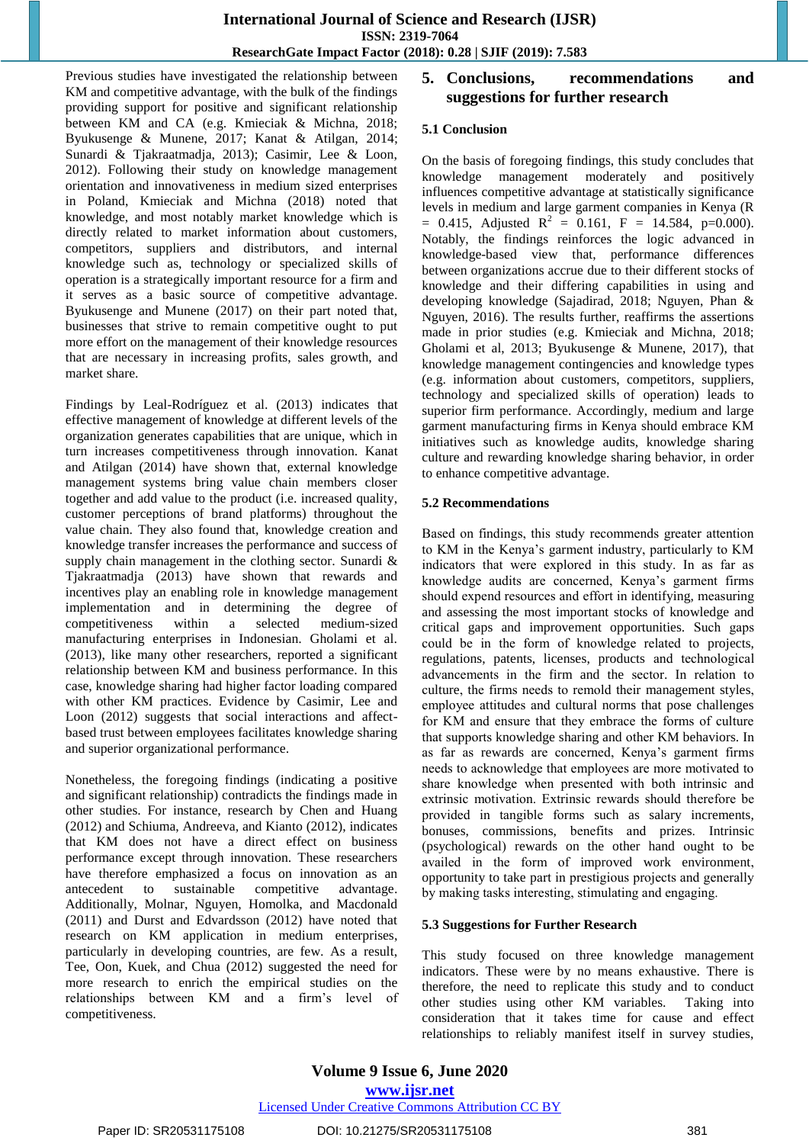Previous studies have investigated the relationship between KM and competitive advantage, with the bulk of the findings providing support for positive and significant relationship between KM and CA (e.g. Kmieciak & Michna, 2018; Byukusenge & Munene, 2017; Kanat & Atilgan, 2014; Sunardi & Tjakraatmadja, 2013); Casimir, Lee & Loon, 2012). Following their study on knowledge management orientation and innovativeness in medium sized enterprises in Poland, Kmieciak and Michna (2018) noted that knowledge, and most notably market knowledge which is directly related to market information about customers, competitors, suppliers and distributors, and internal knowledge such as, technology or specialized skills of operation is a strategically important resource for a firm and it serves as a basic source of competitive advantage. Byukusenge and Munene (2017) on their part noted that, businesses that strive to remain competitive ought to put more effort on the management of their knowledge resources that are necessary in increasing profits, sales growth, and market share.

Findings by Leal-Rodríguez et al. (2013) indicates that effective management of knowledge at different levels of the organization generates capabilities that are unique, which in turn increases competitiveness through innovation. Kanat and Atilgan (2014) have shown that, external knowledge management systems bring value chain members closer together and add value to the product (i.e. increased quality, customer perceptions of brand platforms) throughout the value chain. They also found that, knowledge creation and knowledge transfer increases the performance and success of supply chain management in the clothing sector. Sunardi & Tjakraatmadja (2013) have shown that rewards and incentives play an enabling role in knowledge management implementation and in determining the degree of competitiveness within a selected medium-sized manufacturing enterprises in Indonesian. Gholami et al. (2013), like many other researchers, reported a significant relationship between KM and business performance. In this case, knowledge sharing had higher factor loading compared with other KM practices. Evidence by Casimir, Lee and Loon (2012) suggests that social interactions and affectbased trust between employees facilitates knowledge sharing and superior organizational performance.

Nonetheless, the foregoing findings (indicating a positive and significant relationship) contradicts the findings made in other studies. For instance, research by Chen and Huang (2012) and Schiuma, Andreeva, and Kianto (2012), indicates that KM does not have a direct effect on business performance except through innovation. These researchers have therefore emphasized a focus on innovation as an antecedent to sustainable competitive advantage. Additionally, Molnar, Nguyen, Homolka, and Macdonald (2011) and Durst and Edvardsson (2012) have noted that research on KM application in medium enterprises, particularly in developing countries, are few. As a result, Tee, Oon, Kuek, and Chua (2012) suggested the need for more research to enrich the empirical studies on the relationships between KM and a firm's level of competitiveness.

# **5. Conclusions, recommendations and suggestions for further research**

#### **5.1 Conclusion**

On the basis of foregoing findings, this study concludes that knowledge management moderately and positively influences competitive advantage at statistically significance levels in medium and large garment companies in Kenya (R  $= 0.415$ , Adjusted R<sup>2</sup> = 0.161, F = 14.584, p=0.000). Notably, the findings reinforces the logic advanced in knowledge-based view that, performance differences between organizations accrue due to their different stocks of knowledge and their differing capabilities in using and developing knowledge (Sajadirad, 2018; Nguyen, Phan & Nguyen, 2016). The results further, reaffirms the assertions made in prior studies (e.g. Kmieciak and Michna, 2018; Gholami et al, 2013; Byukusenge & Munene, 2017), that knowledge management contingencies and knowledge types (e.g. information about customers, competitors, suppliers, technology and specialized skills of operation) leads to superior firm performance. Accordingly, medium and large garment manufacturing firms in Kenya should embrace KM initiatives such as knowledge audits, knowledge sharing culture and rewarding knowledge sharing behavior, in order to enhance competitive advantage.

#### **5.2 Recommendations**

Based on findings, this study recommends greater attention to KM in the Kenya's garment industry, particularly to KM indicators that were explored in this study. In as far as knowledge audits are concerned, Kenya's garment firms should expend resources and effort in identifying, measuring and assessing the most important stocks of knowledge and critical gaps and improvement opportunities. Such gaps could be in the form of knowledge related to projects, regulations, patents, licenses, products and technological advancements in the firm and the sector. In relation to culture, the firms needs to remold their management styles, employee attitudes and cultural norms that pose challenges for KM and ensure that they embrace the forms of culture that supports knowledge sharing and other KM behaviors. In as far as rewards are concerned, Kenya's garment firms needs to acknowledge that employees are more motivated to share knowledge when presented with both intrinsic and extrinsic motivation. Extrinsic rewards should therefore be provided in tangible forms such as salary increments, bonuses, commissions, benefits and prizes. Intrinsic (psychological) rewards on the other hand ought to be availed in the form of improved work environment, opportunity to take part in prestigious projects and generally by making tasks interesting, stimulating and engaging.

#### **5.3 Suggestions for Further Research**

This study focused on three knowledge management indicators. These were by no means exhaustive. There is therefore, the need to replicate this study and to conduct other studies using other KM variables. Taking into consideration that it takes time for cause and effect relationships to reliably manifest itself in survey studies,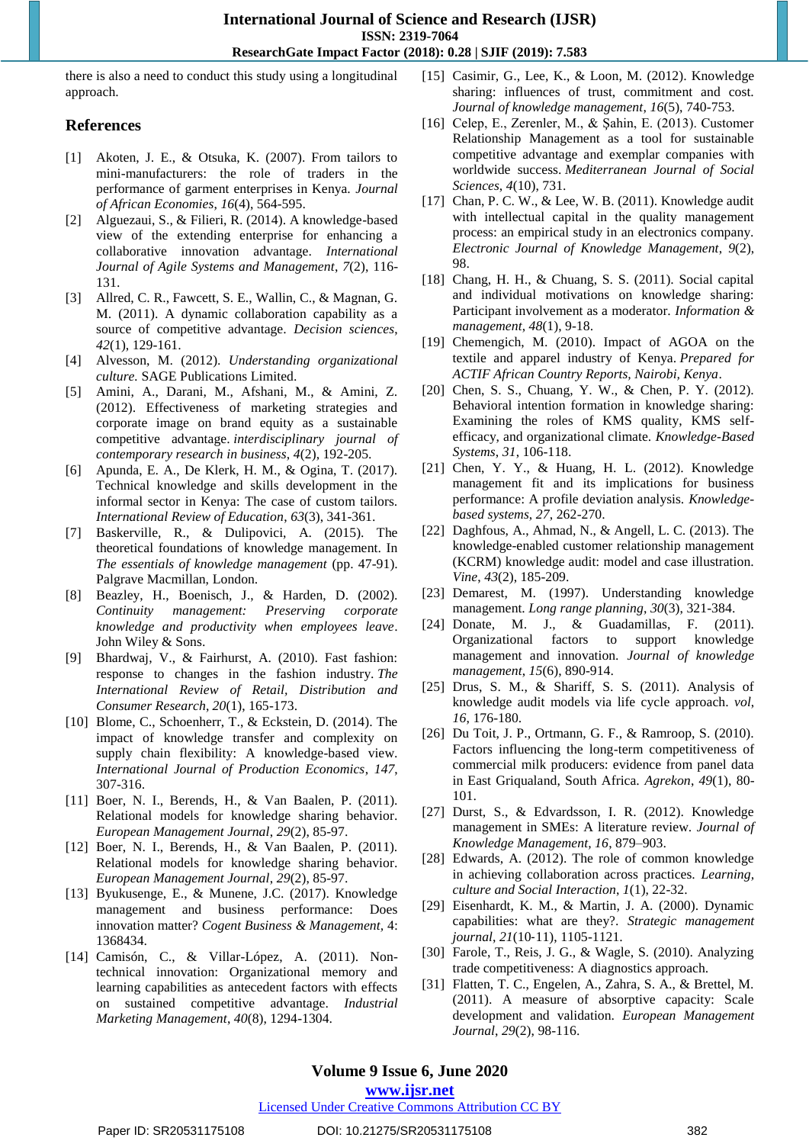there is also a need to conduct this study using a longitudinal approach.

## **References**

- [1] Akoten, J. E., & Otsuka, K. (2007). From tailors to mini-manufacturers: the role of traders in the performance of garment enterprises in Kenya. *Journal of African Economies*, *16*(4), 564-595.
- [2] Alguezaui, S., & Filieri, R. (2014). A knowledge-based view of the extending enterprise for enhancing a collaborative innovation advantage. *International Journal of Agile Systems and Management*, *7*(2), 116- 131.
- [3] Allred, C. R., Fawcett, S. E., Wallin, C., & Magnan, G. M. (2011). A dynamic collaboration capability as a source of competitive advantage. *Decision sciences*, *42*(1), 129-161.
- [4] Alvesson, M. (2012). *Understanding organizational culture.* SAGE Publications Limited.
- [5] Amini, A., Darani, M., Afshani, M., & Amini, Z. (2012). Effectiveness of marketing strategies and corporate image on brand equity as a sustainable competitive advantage. *interdisciplinary journal of contemporary research in business*, *4*(2), 192-205.
- [6] Apunda, E. A., De Klerk, H. M., & Ogina, T. (2017). Technical knowledge and skills development in the informal sector in Kenya: The case of custom tailors. *International Review of Education*, *63*(3), 341-361.
- [7] Baskerville, R., & Dulipovici, A. (2015). The theoretical foundations of knowledge management. In *The essentials of knowledge management* (pp. 47-91). Palgrave Macmillan, London.
- [8] Beazley, H., Boenisch, J., & Harden, D. (2002). *Continuity management: Preserving corporate knowledge and productivity when employees leave*. John Wiley & Sons.
- [9] Bhardwaj, V., & Fairhurst, A. (2010). Fast fashion: response to changes in the fashion industry. *The International Review of Retail, Distribution and Consumer Research*, *20*(1), 165-173.
- [10] Blome, C., Schoenherr, T., & Eckstein, D. (2014). The impact of knowledge transfer and complexity on supply chain flexibility: A knowledge-based view. *International Journal of Production Economics*, *147*, 307-316.
- [11] Boer, N. I., Berends, H., & Van Baalen, P. (2011). Relational models for knowledge sharing behavior. *European Management Journal*, *29*(2), 85-97.
- [12] Boer, N. I., Berends, H., & Van Baalen, P. (2011). Relational models for knowledge sharing behavior. *European Management Journal*, *29*(2), 85-97.
- [13] Byukusenge, E., & Munene, J.C. (2017). Knowledge management and business performance: Does innovation matter? *Cogent Business & Management,* 4: 1368434.
- [14] Camisón, C., & Villar-López, A. (2011). Nontechnical innovation: Organizational memory and learning capabilities as antecedent factors with effects on sustained competitive advantage. *Industrial Marketing Management*, *40*(8), 1294-1304.
- [15] Casimir, G., Lee, K., & Loon, M. (2012). Knowledge sharing: influences of trust, commitment and cost. *Journal of knowledge management*, *16*(5), 740-753.
- [16] Celep, E., Zerenler, M., & Şahin, E. (2013). Customer Relationship Management as a tool for sustainable competitive advantage and exemplar companies with worldwide success. *Mediterranean Journal of Social Sciences*, *4*(10), 731.
- [17] Chan, P. C. W., & Lee, W. B. (2011). Knowledge audit with intellectual capital in the quality management process: an empirical study in an electronics company. *Electronic Journal of Knowledge Management*, *9*(2), 98.
- [18] Chang, H. H., & Chuang, S. S. (2011). Social capital and individual motivations on knowledge sharing: Participant involvement as a moderator. *Information & management*, *48*(1), 9-18.
- [19] Chemengich, M. (2010). Impact of AGOA on the textile and apparel industry of Kenya. *Prepared for ACTIF African Country Reports, Nairobi, Kenya*.
- [20] Chen, S. S., Chuang, Y. W., & Chen, P. Y. (2012). Behavioral intention formation in knowledge sharing: Examining the roles of KMS quality, KMS selfefficacy, and organizational climate. *Knowledge-Based Systems*, *31*, 106-118.
- [21] Chen, Y. Y., & Huang, H. L. (2012). Knowledge management fit and its implications for business performance: A profile deviation analysis. *Knowledgebased systems*, *27*, 262-270.
- [22] Daghfous, A., Ahmad, N., & Angell, L. C. (2013). The knowledge-enabled customer relationship management (KCRM) knowledge audit: model and case illustration. *Vine*, *43*(2), 185-209.
- [23] Demarest, M. (1997). Understanding knowledge management. *Long range planning*, *30*(3), 321-384.
- [24] Donate, M. J., & Guadamillas, F. (2011). Organizational factors to support knowledge management and innovation. *Journal of knowledge management*, *15*(6), 890-914.
- [25] Drus, S. M., & Shariff, S. S. (2011). Analysis of knowledge audit models via life cycle approach. *vol*, *16*, 176-180.
- [26] Du Toit, J. P., Ortmann, G. F., & Ramroop, S. (2010). Factors influencing the long-term competitiveness of commercial milk producers: evidence from panel data in East Griqualand, South Africa. *Agrekon*, *49*(1), 80- 101.
- [27] Durst, S., & Edvardsson, I. R. (2012). Knowledge management in SMEs: A literature review. *Journal of Knowledge Management, 16*, 879–903.
- [28] Edwards, A. (2012). The role of common knowledge in achieving collaboration across practices. *Learning, culture and Social Interaction*, *1*(1), 22-32.
- [29] Eisenhardt, K. M., & Martin, J. A. (2000). Dynamic capabilities: what are they?. *Strategic management journal*, *21*(10‐11), 1105-1121.
- [30] Farole, T., Reis, J. G., & Wagle, S. (2010). Analyzing trade competitiveness: A diagnostics approach.
- [31] Flatten, T. C., Engelen, A., Zahra, S. A., & Brettel, M. (2011). A measure of absorptive capacity: Scale development and validation. *European Management Journal*, *29*(2), 98-116.

# **Volume 9 Issue 6, June 2020**

**www.ijsr.net**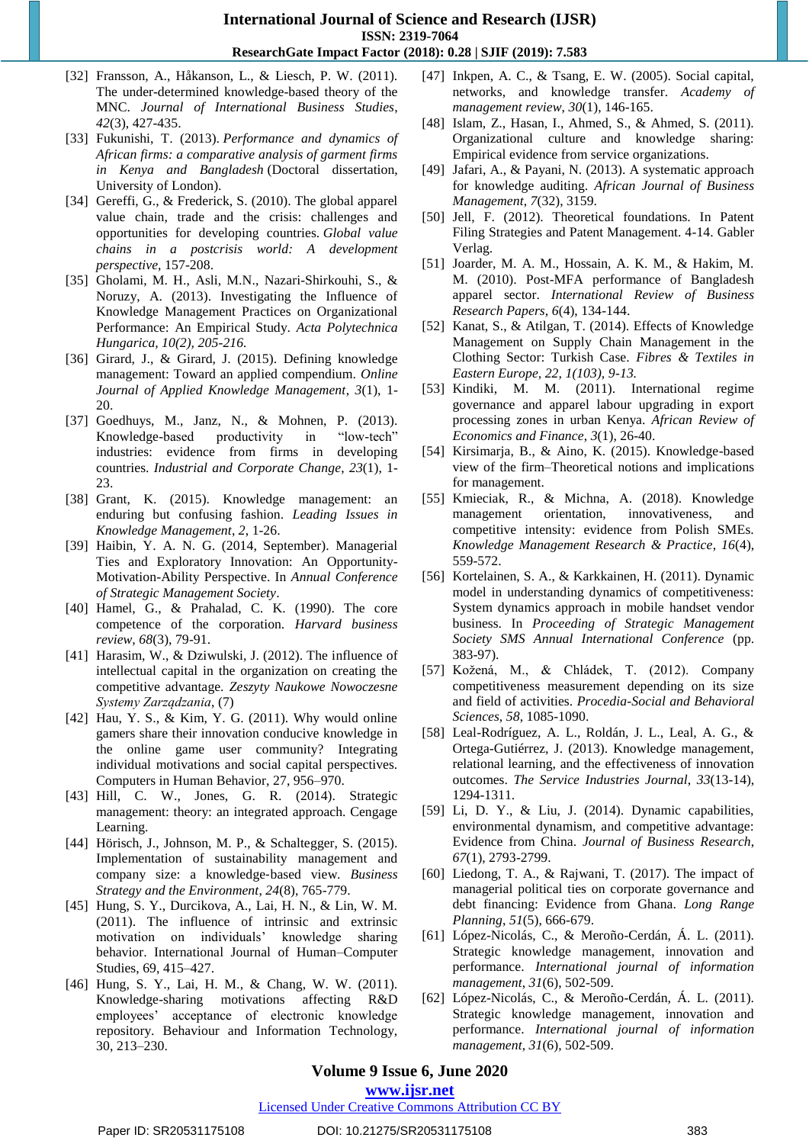- [32] Fransson, A., Håkanson, L., & Liesch, P. W. (2011). The under-determined knowledge-based theory of the MNC. *Journal of International Business Studies*, *42*(3), 427-435.
- [33] Fukunishi, T. (2013). *Performance and dynamics of African firms: a comparative analysis of garment firms in Kenya and Bangladesh* (Doctoral dissertation, University of London).
- [34] Gereffi, G., & Frederick, S. (2010). The global apparel value chain, trade and the crisis: challenges and opportunities for developing countries. *Global value chains in a postcrisis world: A development perspective*, 157-208.
- [35] Gholami, M. H., Asli, M.N., Nazari-Shirkouhi, S., & Noruzy, A. (2013). Investigating the Influence of Knowledge Management Practices on Organizational Performance: An Empirical Study. *Acta Polytechnica Hungarica, 10(2), 205-216.*
- [36] Girard, J., & Girard, J. (2015). Defining knowledge management: Toward an applied compendium. *Online Journal of Applied Knowledge Management*, *3*(1), 1- 20.
- [37] Goedhuys, M., Janz, N., & Mohnen, P. (2013). Knowledge-based productivity in "low-tech" industries: evidence from firms in developing countries. *Industrial and Corporate Change*, *23*(1), 1- 23.
- [38] Grant, K. (2015). Knowledge management: an enduring but confusing fashion. *Leading Issues in Knowledge Management*, *2*, 1-26.
- [39] Haibin, Y. A. N. G. (2014, September). Managerial Ties and Exploratory Innovation: An Opportunity-Motivation-Ability Perspective. In *Annual Conference of Strategic Management Society*.
- [40] Hamel, G., & Prahalad, C. K. (1990). The core competence of the corporation. *Harvard business review*, *68*(3), 79-91.
- [41] Harasim, W., & Dziwulski, J. (2012). The influence of intellectual capital in the organization on creating the competitive advantage. *Zeszyty Naukowe Nowoczesne Systemy Zarządzania*, (7)
- [42] Hau, Y. S., & Kim, Y. G. (2011). Why would online gamers share their innovation conducive knowledge in the online game user community? Integrating individual motivations and social capital perspectives. Computers in Human Behavior, 27, 956–970.
- [43] Hill, C. W., Jones, G. R. (2014). Strategic management: theory: an integrated approach. Cengage Learning.
- [44] Hörisch, J., Johnson, M. P., & Schaltegger, S. (2015). Implementation of sustainability management and company size: a knowledge‐based view. *Business Strategy and the Environment*, *24*(8), 765-779.
- [45] Hung, S. Y., Durcikova, A., Lai, H. N., & Lin, W. M. (2011). The influence of intrinsic and extrinsic motivation on individuals' knowledge sharing behavior. International Journal of Human–Computer Studies, 69, 415–427.
- [46] Hung, S. Y., Lai, H. M., & Chang, W. W. (2011). Knowledge-sharing motivations affecting R&D employees' acceptance of electronic knowledge repository. Behaviour and Information Technology, 30, 213–230.
- [47] Inkpen, A. C., & Tsang, E. W. (2005). Social capital, networks, and knowledge transfer. *Academy of management review*, *30*(1), 146-165.
- [48] Islam, Z., Hasan, I., Ahmed, S., & Ahmed, S. (2011). Organizational culture and knowledge sharing: Empirical evidence from service organizations.
- [49] Jafari, A., & Payani, N. (2013). A systematic approach for knowledge auditing. *African Journal of Business Management*, *7*(32), 3159.
- [50] Jell, F. (2012). Theoretical foundations. In Patent Filing Strategies and Patent Management. 4-14. Gabler Verlag.
- [51] Joarder, M. A. M., Hossain, A. K. M., & Hakim, M. M. (2010). Post-MFA performance of Bangladesh apparel sector. *International Review of Business Research Papers*, *6*(4), 134-144.
- [52] Kanat, S., & Atilgan, T. (2014). Effects of Knowledge Management on Supply Chain Management in the Clothing Sector: Turkish Case. *Fibres & Textiles in Eastern Europe, 22, 1(103), 9-13.*
- [53] Kindiki, M. M. (2011). International regime governance and apparel labour upgrading in export processing zones in urban Kenya. *African Review of Economics and Finance*, *3*(1), 26-40.
- [54] Kirsimarja, B., & Aino, K. (2015). Knowledge-based view of the firm–Theoretical notions and implications for management.
- [55] Kmieciak, R., & Michna, A. (2018). Knowledge management orientation, innovativeness, and competitive intensity: evidence from Polish SMEs. *Knowledge Management Research & Practice*, *16*(4), 559-572.
- [56] Kortelainen, S. A., & Karkkainen, H. (2011). Dynamic model in understanding dynamics of competitiveness: System dynamics approach in mobile handset vendor business. In *Proceeding of Strategic Management Society SMS Annual International Conference* (pp. 383-97).
- [57] Kožená, M., & Chládek, T. (2012). Company competitiveness measurement depending on its size and field of activities. *Procedia-Social and Behavioral Sciences*, *58*, 1085-1090.
- [58] Leal-Rodríguez, A. L., Roldán, J. L., Leal, A. G., & Ortega-Gutiérrez, J. (2013). Knowledge management, relational learning, and the effectiveness of innovation outcomes. *The Service Industries Journal*, *33*(13-14), 1294-1311.
- [59] Li, D. Y., & Liu, J. (2014). Dynamic capabilities, environmental dynamism, and competitive advantage: Evidence from China. *Journal of Business Research*, *67*(1), 2793-2799.
- [60] Liedong, T. A., & Rajwani, T. (2017). The impact of managerial political ties on corporate governance and debt financing: Evidence from Ghana. *Long Range Planning*, *51*(5), 666-679.
- [61] López-Nicolás, C., & Meroño-Cerdán, Á. L. (2011). Strategic knowledge management, innovation and performance. *International journal of information management*, *31*(6), 502-509.
- [62] López-Nicolás, C., & Meroño-Cerdán, Á. L. (2011). Strategic knowledge management, innovation and performance. *International journal of information management*, *31*(6), 502-509.

# **Volume 9 Issue 6, June 2020**

**www.ijsr.net**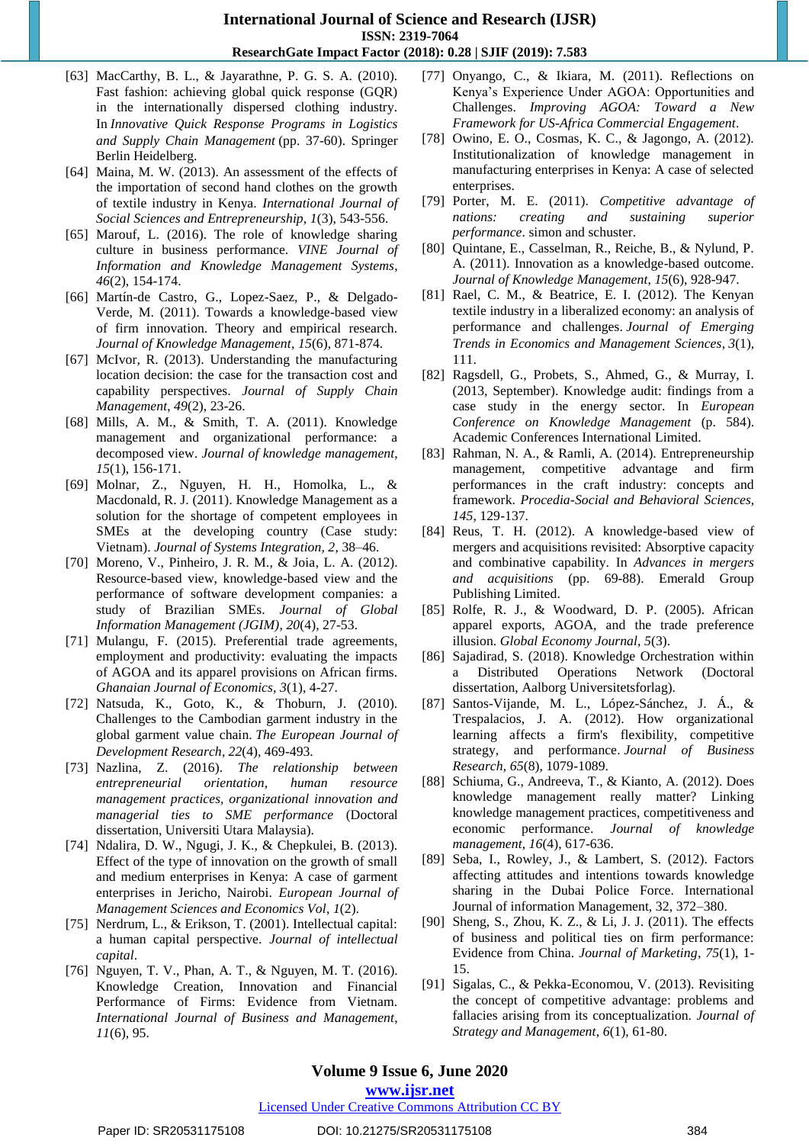- [63] MacCarthy, B. L., & Jayarathne, P. G. S. A. (2010). Fast fashion: achieving global quick response (GQR) in the internationally dispersed clothing industry. In *Innovative Quick Response Programs in Logistics and Supply Chain Management* (pp. 37-60). Springer Berlin Heidelberg.
- [64] Maina, M. W. (2013). An assessment of the effects of the importation of second hand clothes on the growth of textile industry in Kenya. *International Journal of Social Sciences and Entrepreneurship*, *1*(3), 543-556.
- [65] Marouf, L. (2016). The role of knowledge sharing culture in business performance. *VINE Journal of Information and Knowledge Management Systems*, *46*(2), 154-174.
- [66] Martín-de Castro, G., Lopez-Saez, P., & Delgado-Verde, M. (2011). Towards a knowledge-based view of firm innovation. Theory and empirical research. *Journal of Knowledge Management*, *15*(6), 871-874.
- [67] McIvor, R. (2013). Understanding the manufacturing location decision: the case for the transaction cost and capability perspectives. *Journal of Supply Chain Management*, *49*(2), 23-26.
- [68] Mills, A. M., & Smith, T. A. (2011). Knowledge management and organizational performance: a decomposed view. *Journal of knowledge management*, *15*(1), 156-171.
- [69] Molnar, Z., Nguyen, H. H., Homolka, L., & Macdonald, R. J. (2011). Knowledge Management as a solution for the shortage of competent employees in SMEs at the developing country (Case study: Vietnam). *Journal of Systems Integration, 2*, 38–46.
- [70] Moreno, V., Pinheiro, J. R. M., & Joia, L. A. (2012). Resource-based view, knowledge-based view and the performance of software development companies: a study of Brazilian SMEs. *Journal of Global Information Management (JGIM)*, *20*(4), 27-53.
- [71] Mulangu, F. (2015). Preferential trade agreements, employment and productivity: evaluating the impacts of AGOA and its apparel provisions on African firms. *Ghanaian Journal of Economics*, *3*(1), 4-27.
- [72] Natsuda, K., Goto, K., & Thoburn, J. (2010). Challenges to the Cambodian garment industry in the global garment value chain. *The European Journal of Development Research*, *22*(4), 469-493.
- [73] Nazlina, Z. (2016). *The relationship between entrepreneurial orientation, human resource management practices, organizational innovation and managerial ties to SME performance* (Doctoral dissertation, Universiti Utara Malaysia).
- [74] Ndalira, D. W., Ngugi, J. K., & Chepkulei, B. (2013). Effect of the type of innovation on the growth of small and medium enterprises in Kenya: A case of garment enterprises in Jericho, Nairobi. *European Journal of Management Sciences and Economics Vol*, *1*(2).
- [75] Nerdrum, L., & Erikson, T. (2001). Intellectual capital: a human capital perspective. *Journal of intellectual capital*.
- [76] Nguyen, T. V., Phan, A. T., & Nguyen, M. T. (2016). Knowledge Creation, Innovation and Financial Performance of Firms: Evidence from Vietnam. *International Journal of Business and Management*, *11*(6), 95.
- [77] Onyango, C., & Ikiara, M. (2011). Reflections on Kenya's Experience Under AGOA: Opportunities and Challenges. *Improving AGOA: Toward a New Framework for US-Africa Commercial Engagement*.
- [78] Owino, E. O., Cosmas, K. C., & Jagongo, A. (2012). Institutionalization of knowledge management in manufacturing enterprises in Kenya: A case of selected enterprises.
- [79] Porter, M. E. (2011). *Competitive advantage of nations: creating and sustaining superior performance*. simon and schuster.
- [80] Quintane, E., Casselman, R., Reiche, B., & Nylund, P. A. (2011). Innovation as a knowledge-based outcome. *Journal of Knowledge Management*, *15*(6), 928-947.
- [81] Rael, C. M., & Beatrice, E. I. (2012). The Kenyan textile industry in a liberalized economy: an analysis of performance and challenges. *Journal of Emerging Trends in Economics and Management Sciences*, *3*(1), 111.
- [82] Ragsdell, G., Probets, S., Ahmed, G., & Murray, I. (2013, September). Knowledge audit: findings from a case study in the energy sector. In *European Conference on Knowledge Management* (p. 584). Academic Conferences International Limited.
- [83] Rahman, N. A., & Ramli, A. (2014). Entrepreneurship management, competitive advantage and firm performances in the craft industry: concepts and framework. *Procedia-Social and Behavioral Sciences*, *145*, 129-137.
- [84] Reus, T. H. (2012). A knowledge-based view of mergers and acquisitions revisited: Absorptive capacity and combinative capability. In *Advances in mergers and acquisitions* (pp. 69-88). Emerald Group Publishing Limited.
- [85] Rolfe, R. J., & Woodward, D. P. (2005). African apparel exports, AGOA, and the trade preference illusion. *Global Economy Journal*, *5*(3).
- [86] Sajadirad, S. (2018). Knowledge Orchestration within a Distributed Operations Network (Doctoral dissertation, Aalborg Universitetsforlag).
- [87] Santos-Vijande, M. L., López-Sánchez, J. Á., & Trespalacios, J. A. (2012). How organizational learning affects a firm's flexibility, competitive strategy, and performance. *Journal of Business Research*, *65*(8), 1079-1089.
- [88] Schiuma, G., Andreeva, T., & Kianto, A. (2012). Does knowledge management really matter? Linking knowledge management practices, competitiveness and economic performance. *Journal of knowledge management*, *16*(4), 617-636.
- [89] Seba, I., Rowley, J., & Lambert, S. (2012). Factors affecting attitudes and intentions towards knowledge sharing in the Dubai Police Force. International Journal of information Management, 32, 372–380.
- [90] Sheng, S., Zhou, K. Z., & Li, J. J. (2011). The effects of business and political ties on firm performance: Evidence from China. *Journal of Marketing*, *75*(1), 1- 15.
- [91] Sigalas, C., & Pekka-Economou, V. (2013). Revisiting the concept of competitive advantage: problems and fallacies arising from its conceptualization. *Journal of Strategy and Management*, *6*(1), 61-80.

# **Volume 9 Issue 6, June 2020**

**www.ijsr.net**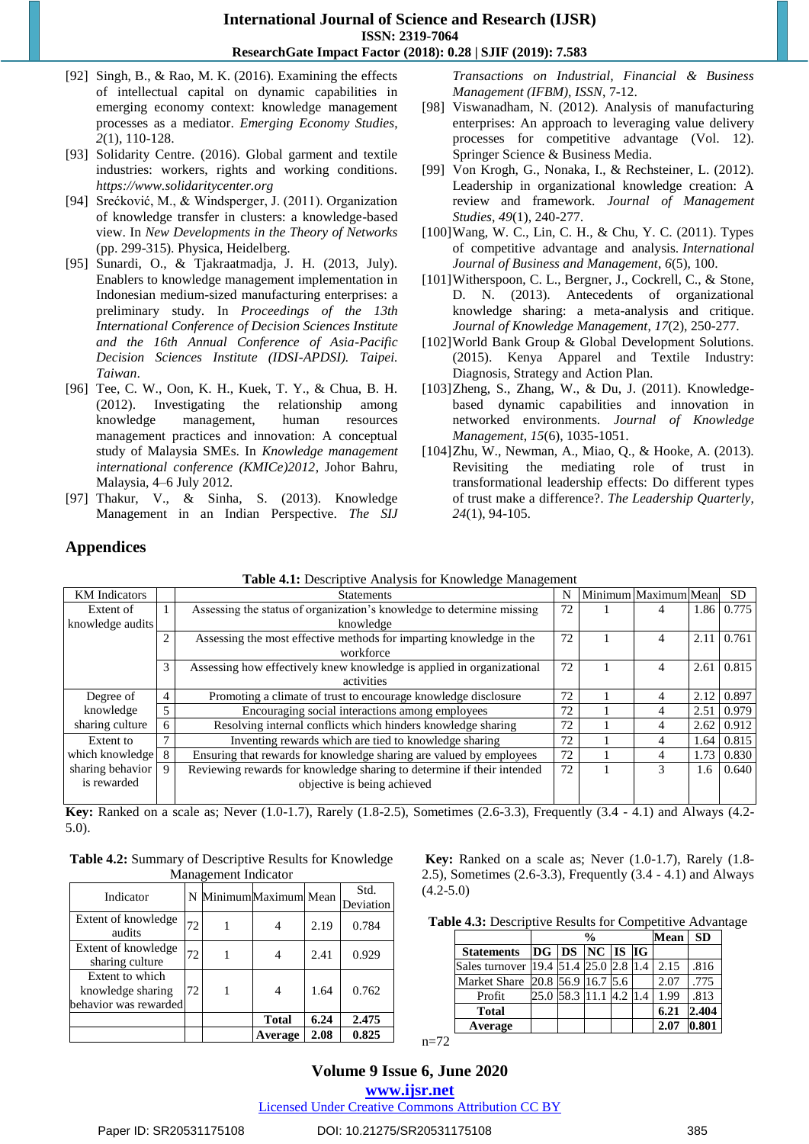- [92] Singh, B., & Rao, M. K. (2016). Examining the effects of intellectual capital on dynamic capabilities in emerging economy context: knowledge management processes as a mediator. *Emerging Economy Studies*, *2*(1), 110-128.
- [93] Solidarity Centre. (2016). Global garment and textile industries: workers, rights and working conditions. *https://www.solidaritycenter.org*
- [94] Srećković, M., & Windsperger, J. (2011). Organization of knowledge transfer in clusters: a knowledge-based view. In *New Developments in the Theory of Networks* (pp. 299-315). Physica, Heidelberg.
- [95] Sunardi, O., & Tjakraatmadja, J. H. (2013, July). Enablers to knowledge management implementation in Indonesian medium-sized manufacturing enterprises: a preliminary study. In *Proceedings of the 13th International Conference of Decision Sciences Institute and the 16th Annual Conference of Asia-Pacific Decision Sciences Institute (IDSI-APDSI). Taipei. Taiwan*.
- [96] Tee, C. W., Oon, K. H., Kuek, T. Y., & Chua, B. H. (2012). Investigating the relationship among knowledge management, human resources management practices and innovation: A conceptual study of Malaysia SMEs. In *Knowledge management international conference (KMICe)2012*, Johor Bahru, Malaysia, 4–6 July 2012*.*
- [97] Thakur, V., & Sinha, S. (2013). Knowledge Management in an Indian Perspective. *The SIJ*

*Transactions on Industrial, Financial & Business Management (IFBM), ISSN*, 7-12.

- [98] Viswanadham, N. (2012). Analysis of manufacturing enterprises: An approach to leveraging value delivery processes for competitive advantage (Vol. 12). Springer Science & Business Media.
- [99] Von Krogh, G., Nonaka, I., & Rechsteiner, L. (2012). Leadership in organizational knowledge creation: A review and framework. *Journal of Management Studies*, *49*(1), 240-277.
- [100]Wang, W. C., Lin, C. H., & Chu, Y. C. (2011). Types of competitive advantage and analysis. *International Journal of Business and Management*, *6*(5), 100.
- [101]Witherspoon, C. L., Bergner, J., Cockrell, C., & Stone, D. N. (2013). Antecedents of organizational knowledge sharing: a meta-analysis and critique. *Journal of Knowledge Management*, *17*(2), 250-277.
- [102]World Bank Group & Global Development Solutions. (2015). Kenya Apparel and Textile Industry: Diagnosis, Strategy and Action Plan.
- [103]Zheng, S., Zhang, W., & Du, J. (2011). Knowledgebased dynamic capabilities and innovation in networked environments. *Journal of Knowledge Management*, *15*(6), 1035-1051.
- [104]Zhu, W., Newman, A., Miao, Q., & Hooke, A. (2013). Revisiting the mediating role of trust in transformational leadership effects: Do different types of trust make a difference?. *The Leadership Quarterly*, *24*(1), 94-105.

# **Appendices**

| <b>KM</b> Indicators<br><b>Statements</b>                                                  |               |                                                                       |    | Minimum Maximum Mean |       | <b>SD</b>  |
|--------------------------------------------------------------------------------------------|---------------|-----------------------------------------------------------------------|----|----------------------|-------|------------|
| Extent of                                                                                  |               | Assessing the status of organization's knowledge to determine missing | 72 | 4                    |       | 1.86 0.775 |
| knowledge audits                                                                           |               | knowledge                                                             |    |                      |       |            |
|                                                                                            | $\mathcal{D}$ | Assessing the most effective methods for imparting knowledge in the   | 72 | 4                    | 2.11  | 0.761      |
|                                                                                            |               | workforce                                                             |    |                      |       |            |
|                                                                                            | 3             | Assessing how effectively knew knowledge is applied in organizational | 72 | 4                    | 2.61  | 0.815      |
|                                                                                            |               | activities                                                            |    |                      |       |            |
| Degree of                                                                                  | 4             | Promoting a climate of trust to encourage knowledge disclosure        | 72 | 4                    | 2.12  | 0.897      |
| knowledge                                                                                  |               | Encouraging social interactions among employees                       | 72 | 4                    | 2.51  | 0.979      |
| sharing culture<br>6                                                                       |               | Resolving internal conflicts which hinders knowledge sharing          | 72 | 4                    | 2.62  | 0.912      |
| Extent to                                                                                  |               | Inventing rewards which are tied to knowledge sharing                 | 72 | 4                    | 1.64  | 0.815      |
| which knowledge                                                                            | 8             | Ensuring that rewards for knowledge sharing are valued by employees   | 72 | 4                    | 1.73  | 0.830      |
| sharing behavior<br>Reviewing rewards for knowledge sharing to determine if their intended |               | 72                                                                    | 3  | 1.6                  | 0.640 |            |
| is rewarded                                                                                |               | objective is being achieved                                           |    |                      |       |            |
|                                                                                            |               |                                                                       |    |                      |       |            |

**Table 4.1:** Descriptive Analysis for Knowledge Management

**Key:** Ranked on a scale as; Never (1.0-1.7), Rarely (1.8-2.5), Sometimes (2.6-3.3), Frequently (3.4 - 4.1) and Always (4.2- 5.0).

| <b>Table 4.2:</b> Summary of Descriptive Results for Knowledge |
|----------------------------------------------------------------|
| Management Indicator                                           |

Indicator  $N$  Minimum Maximum Mean  $\begin{bmatrix} \text{Std.} \\ \text{D.} \end{bmatrix}$ Deviation Extent of knowledge audits  $\begin{bmatrix} 72 \\ 1 \\ 4 \\ 2.19 \\ 0.784 \end{bmatrix}$ Extent of knowledge sharing culture  $\begin{bmatrix} 72 \\ 1 \end{bmatrix}$  1  $\begin{bmatrix} 4 \\ 2.41 \end{bmatrix}$  0.929 Extent to which knowledge sharing behavior was rewarded 72 1 4 1.64 0.762 **Total 6.24 2.475 Average 2.08 0.825**

**Key:** Ranked on a scale as; Never (1.0-1.7), Rarely (1.8- 2.5), Sometimes (2.6-3.3), Frequently (3.4 - 4.1) and Always (4.2-5.0)

| Table 4.3: Descriptive Results for Competitive Advantage |  |  |
|----------------------------------------------------------|--|--|
|----------------------------------------------------------|--|--|

|                                   |  | $\frac{0}{0}$          |     | Mean | <b>SD</b> |
|-----------------------------------|--|------------------------|-----|------|-----------|
| Statements  DG  DS  NC  IS  IG    |  |                        |     |      |           |
| Sales turnover 19.4 51.4 25.0 2.8 |  |                        | 1.4 | 2.15 | .816      |
| Market Share 20.8 56.9 16.7 5.6   |  |                        |     | 2.07 | .775      |
| Profit                            |  | 25.0 58.3 11.1 4.2 1.4 |     | 1.99 | .813      |
| <b>Total</b>                      |  |                        |     | 6.21 | 2.404     |
| Average                           |  |                        |     | 2.07 | 0.801     |

 $n=72$ 

**Volume 9 Issue 6, June 2020 www.ijsr.net**